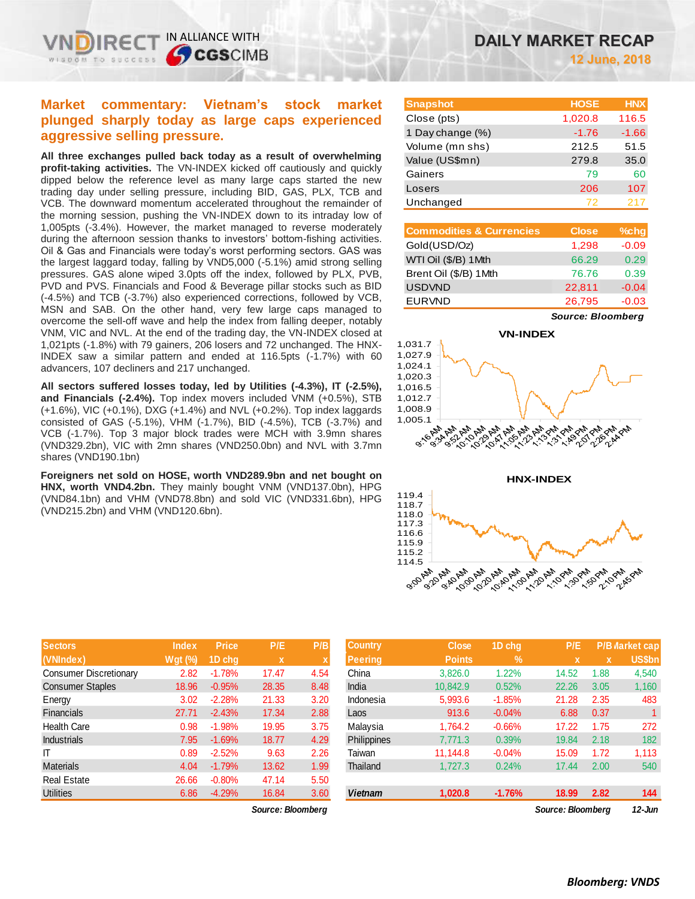# **Market commentary: Vietnam's stock market plunged sharply today as large caps experienced aggressive selling pressure.**

IN ALLIANCE WITH

TO SUCCESS

**SCGSCIMB** 

**All three exchanges pulled back today as a result of overwhelming profit-taking activities.** The VN-INDEX kicked off cautiously and quickly dipped below the reference level as many large caps started the new trading day under selling pressure, including BID, GAS, PLX, TCB and VCB. The downward momentum accelerated throughout the remainder of the morning session, pushing the VN-INDEX down to its intraday low of 1,005pts (-3.4%). However, the market managed to reverse moderately during the afternoon session thanks to investors' bottom-fishing activities. Oil & Gas and Financials were today's worst performing sectors. GAS was the largest laggard today, falling by VND5,000 (-5.1%) amid strong selling pressures. GAS alone wiped 3.0pts off the index, followed by PLX, PVB, PVD and PVS. Financials and Food & Beverage pillar stocks such as BID (-4.5%) and TCB (-3.7%) also experienced corrections, followed by VCB, MSN and SAB. On the other hand, very few large caps managed to overcome the sell-off wave and help the index from falling deeper, notably VNM, VIC and NVL. At the end of the trading day, the VN-INDEX closed at 1,021pts (-1.8%) with 79 gainers, 206 losers and 72 unchanged. The HNX-INDEX saw a similar pattern and ended at 116.5pts (-1.7%) with 60 advancers, 107 decliners and 217 unchanged.

**All sectors suffered losses today, led by Utilities (-4.3%), IT (-2.5%), and Financials (-2.4%).** Top index movers included VNM (+0.5%), STB (+1.6%), VIC (+0.1%), DXG (+1.4%) and NVL (+0.2%). Top index laggards consisted of GAS (-5.1%), VHM (-1.7%), BID (-4.5%), TCB (-3.7%) and VCB (-1.7%). Top 3 major block trades were MCH with 3.9mn shares (VND329.2bn), VIC with 2mn shares (VND250.0bn) and NVL with 3.7mn shares (VND190.1bn)

**Foreigners net sold on HOSE, worth VND289.9bn and net bought on HNX, worth VND4.2bn.** They mainly bought VNM (VND137.0bn), HPG (VND84.1bn) and VHM (VND78.8bn) and sold VIC (VND331.6bn), HPG (VND215.2bn) and VHM (VND120.6bn).

| <b>DAILY MARKET RECAP</b> |
|---------------------------|
| 12 June, 2018             |

| <b>Snapshot</b>  | <b>HOSE</b> | <b>HNX</b> |
|------------------|-------------|------------|
| Close (pts)      | 1,020.8     | 116.5      |
| 1 Day change (%) | $-1.76$     | $-1.66$    |
| Volume (mn shs)  | 212.5       | 51.5       |
| Value (US\$mn)   | 279.8       | 35.0       |
| Gainers          | 79          | 60         |
| Losers           | 206         | 107        |
| Unchanged        | 72          | 217        |

| <b>Commodities &amp; Currencies</b> | <b>Close</b> | $%$ chg |
|-------------------------------------|--------------|---------|
| Gold(USD/Oz)                        | 1,298        | $-0.09$ |
| WTI Oil (\$/B) 1Mth                 | 66.29        | 0.29    |
| Brent Oil (\$/B) 1Mth               | 76.76        | 0.39    |
| <b>USDVND</b>                       | 22,811       | $-0.04$ |
| <b>EURVND</b>                       | 26,795       | $-0.03$ |

*Source: Bloomberg*





| <b>Sectors</b>                | <b>Index</b> | <b>Price</b> | P/E         | P/B         |
|-------------------------------|--------------|--------------|-------------|-------------|
| (VNIndex)                     | $Wgt$ (%)    | 1D chg       | $\mathbf x$ | $\mathbf x$ |
| <b>Consumer Discretionary</b> | 2.82         | $-1.78%$     | 17.47       | 4.54        |
| <b>Consumer Staples</b>       | 18.96        | $-0.95%$     | 28.35       | 8.48        |
| Energy                        | 3.02         | $-2.28%$     | 21.33       | 3.20        |
| <b>Financials</b>             | 27.71        | $-2.43%$     | 17.34       | 2.88        |
| <b>Health Care</b>            | 0.98         | $-1.98%$     | 19.95       | 3.75        |
| <b>Industrials</b>            | 7.95         | $-1.69%$     | 18.77       | 4.29        |
| IΤ                            | 0.89         | $-2.52%$     | 9.63        | 2.26        |
| <b>Materials</b>              | 4.04         | $-1.79%$     | 13.62       | 1.99        |
| <b>Real Estate</b>            | 26.66        | $-0.80%$     | 47.14       | 5.50        |
| <b>Utilities</b>              | 6.86         | $-4.29%$     | 16.84       | 3.60        |

*Source: Bloomberg Source: Bloomberg 12-Jun*

| <b>Sectors</b>         | <b>Index</b>   | <b>Price</b> | P/E               | P/B  | <b>Country</b>     | <b>Close</b>  | 1D chq   | P/E               |             | <b>P/B Varket cap</b> |
|------------------------|----------------|--------------|-------------------|------|--------------------|---------------|----------|-------------------|-------------|-----------------------|
| (VNIndex)              | <b>Wgt</b> (%) | 1D cha       | $\mathbf x$       |      | <b>Peering</b>     | <b>Points</b> | $\%$     | x                 | $\mathbf x$ | <b>US\$bn</b>         |
| Consumer Discretionary | 2.82           | $-1.78%$     | 17.47             | 4.54 | China              | 3.826.0       | 1.22%    | 14.52             | 1.88        | 4,540                 |
| Consumer Staples       | 18.96          | $-0.95%$     | 28.35             | 8.48 | India              | 10.842.9      | 0.52%    | 22.26             | 3.05        | 1,160                 |
| Energy                 | 3.02           | $-2.28%$     | 21.33             | 3.20 | Indonesia          | 5,993.6       | $-1.85%$ | 21.28             | 2.35        | 483                   |
| Financials             | 27.71          | $-2.43%$     | 17.34             | 2.88 | Laos               | 913.6         | $-0.04%$ | 6.88              | 0.37        |                       |
| Health Care            | 0.98           | $-1.98%$     | 19.95             | 3.75 | Malaysia           | 1,764.2       | $-0.66%$ | 17.22             | 1.75        | 272                   |
| <b>Industrials</b>     | 7.95           | $-1.69%$     | 18.77             | 4.29 | <b>Philippines</b> | 7,771.3       | 0.39%    | 19.84             | 2.18        | 182                   |
|                        | 0.89           | $-2.52%$     | 9.63              | 2.26 | Taiwan             | 11.144.8      | $-0.04%$ | 15.09             | 1.72        | 1,113                 |
| Materials              | 4.04           | $-1.79%$     | 13.62             | 1.99 | Thailand           | 1.727.3       | 0.24%    | 17.44             | 2.00        | 540                   |
| Real Estate            | 26.66          | $-0.80%$     | 47.14             | 5.50 |                    |               |          |                   |             |                       |
| Utilities              | 6.86           | $-4.29%$     | 16.84             | 3.60 | <b>Vietnam</b>     | 1,020.8       | $-1.76%$ | 18.99             | 2.82        | 144                   |
|                        |                |              | Source: Bloomberg |      |                    |               |          | Source: Bloomberg |             | $12$ -Jun             |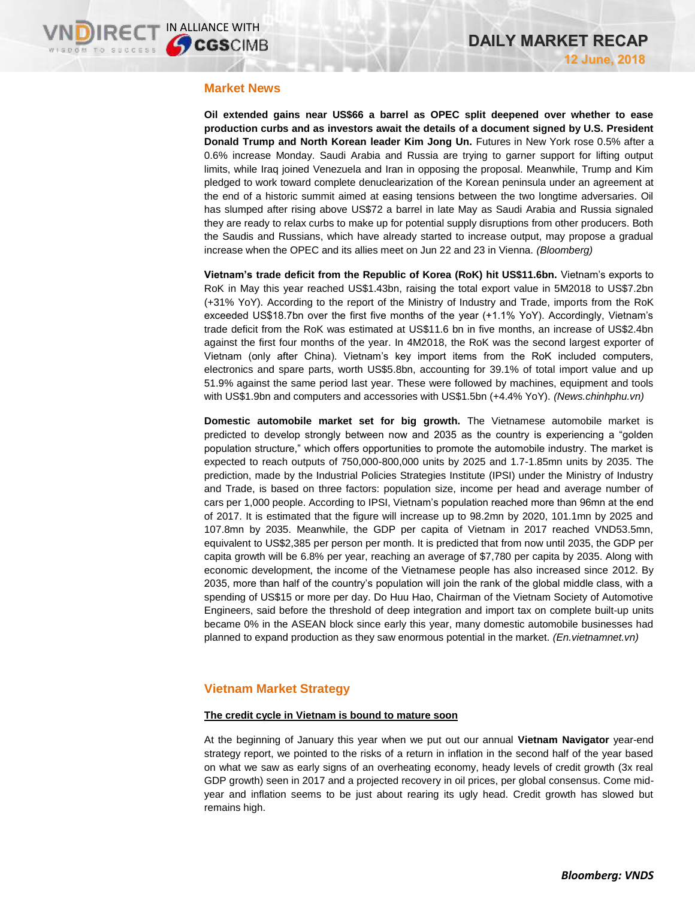## **Market News**

**Oil extended gains near US\$66 a barrel as OPEC split deepened over whether to ease production curbs and as investors await the details of a document signed by U.S. President Donald Trump and North Korean leader Kim Jong Un.** Futures in New York rose 0.5% after a 0.6% increase Monday. Saudi Arabia and Russia are trying to garner support for lifting output limits, while Iraq joined Venezuela and Iran in opposing the proposal. Meanwhile, Trump and Kim pledged to work toward complete denuclearization of the Korean peninsula under an agreement at the end of a historic summit aimed at easing tensions between the two longtime adversaries. Oil has slumped after rising above US\$72 a barrel in late May as Saudi Arabia and Russia signaled they are ready to relax curbs to make up for potential supply disruptions from other producers. Both the Saudis and Russians, which have already started to increase output, may propose a gradual increase when the OPEC and its allies meet on Jun 22 and 23 in Vienna. *(Bloomberg)*

**Vietnam's trade deficit from the Republic of Korea (RoK) hit US\$11.6bn.** Vietnam's exports to RoK in May this year reached US\$1.43bn, raising the total export value in 5M2018 to US\$7.2bn (+31% YoY). According to the report of the Ministry of Industry and Trade, imports from the RoK exceeded US\$18.7bn over the first five months of the year (+1.1% YoY). Accordingly, Vietnam's trade deficit from the RoK was estimated at US\$11.6 bn in five months, an increase of US\$2.4bn against the first four months of the year. In 4M2018, the RoK was the second largest exporter of Vietnam (only after China). Vietnam's key import items from the RoK included computers, electronics and spare parts, worth US\$5.8bn, accounting for 39.1% of total import value and up 51.9% against the same period last year. These were followed by machines, equipment and tools with US\$1.9bn and computers and accessories with US\$1.5bn (+4.4% YoY). *(News.chinhphu.vn)*

**Domestic automobile market set for big growth.** The Vietnamese automobile market is predicted to develop strongly between now and 2035 as the country is experiencing a "golden population structure," which offers opportunities to promote the automobile industry. The market is expected to reach outputs of 750,000-800,000 units by 2025 and 1.7-1.85mn units by 2035. The prediction, made by the Industrial Policies Strategies Institute (IPSI) under the Ministry of Industry and Trade, is based on three factors: population size, income per head and average number of cars per 1,000 people. According to IPSI, Vietnam's population reached more than 96mn at the end of 2017. It is estimated that the figure will increase up to 98.2mn by 2020, 101.1mn by 2025 and 107.8mn by 2035. Meanwhile, the GDP per capita of Vietnam in 2017 reached VND53.5mn, equivalent to US\$2,385 per person per month. It is predicted that from now until 2035, the GDP per capita growth will be 6.8% per year, reaching an average of \$7,780 per capita by 2035. Along with economic development, the income of the Vietnamese people has also increased since 2012. By 2035, more than half of the country's population will join the rank of the global middle class, with a spending of US\$15 or more per day. Do Huu Hao, Chairman of the Vietnam Society of Automotive Engineers, said before the threshold of deep integration and import tax on complete built-up units became 0% in the ASEAN block since early this year, many domestic automobile businesses had planned to expand production as they saw enormous potential in the market. *(En.vietnamnet.vn)*

## **Vietnam Market Strategy**

#### **The credit cycle in Vietnam is bound to mature soon**

At the beginning of January this year when we put out our annual **Vietnam Navigator** year-end strategy report, we pointed to the risks of a return in inflation in the second half of the year based on what we saw as early signs of an overheating economy, heady levels of credit growth (3x real GDP growth) seen in 2017 and a projected recovery in oil prices, per global consensus. Come midyear and inflation seems to be just about rearing its ugly head. Credit growth has slowed but remains high.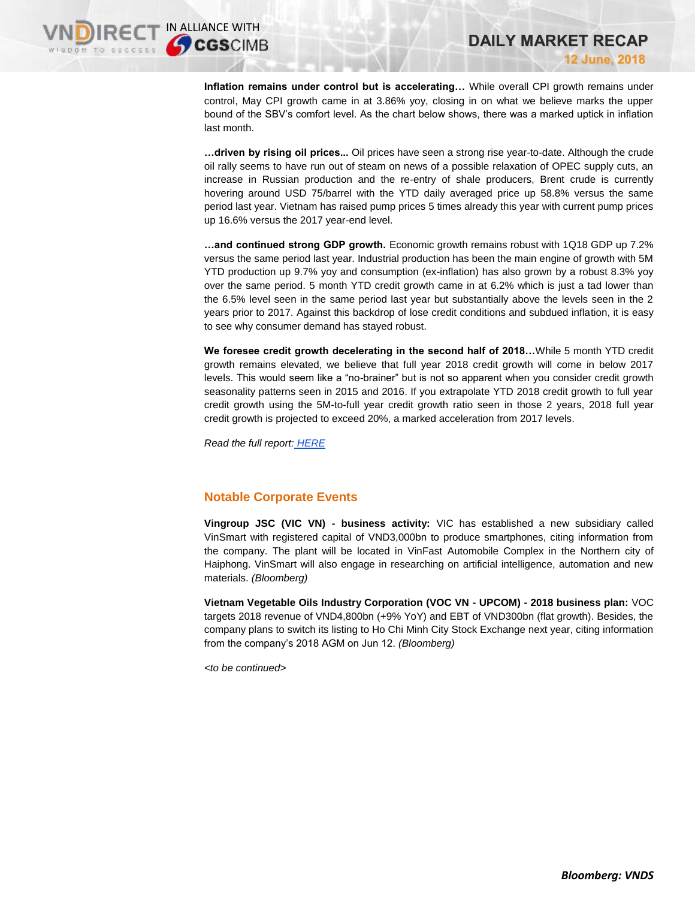**Inflation remains under control but is accelerating…** While overall CPI growth remains under control, May CPI growth came in at 3.86% yoy, closing in on what we believe marks the upper bound of the SBV's comfort level. As the chart below shows, there was a marked uptick in inflation last month.

**…driven by rising oil prices...** Oil prices have seen a strong rise year-to-date. Although the crude oil rally seems to have run out of steam on news of a possible relaxation of OPEC supply cuts, an increase in Russian production and the re-entry of shale producers, Brent crude is currently hovering around USD 75/barrel with the YTD daily averaged price up 58.8% versus the same period last year. Vietnam has raised pump prices 5 times already this year with current pump prices up 16.6% versus the 2017 year-end level.

**…and continued strong GDP growth.** Economic growth remains robust with 1Q18 GDP up 7.2% versus the same period last year. Industrial production has been the main engine of growth with 5M YTD production up 9.7% yoy and consumption (ex-inflation) has also grown by a robust 8.3% yoy over the same period. 5 month YTD credit growth came in at 6.2% which is just a tad lower than the 6.5% level seen in the same period last year but substantially above the levels seen in the 2 years prior to 2017. Against this backdrop of lose credit conditions and subdued inflation, it is easy to see why consumer demand has stayed robust.

**We foresee credit growth decelerating in the second half of 2018…**While 5 month YTD credit growth remains elevated, we believe that full year 2018 credit growth will come in below 2017 levels. This would seem like a "no-brainer" but is not so apparent when you consider credit growth seasonality patterns seen in 2015 and 2016. If you extrapolate YTD 2018 credit growth to full year credit growth using the 5M-to-full year credit growth ratio seen in those 2 years, 2018 full year credit growth is projected to exceed 20%, a marked acceleration from 2017 levels.

*Read the full report: [HERE](https://static-02.vndirect.com.vn/uploads/prod/Vietnam_MarketStrategy_20180612.pdf)*

## **Notable Corporate Events**

**Vingroup JSC (VIC VN) - business activity:** VIC has established a new subsidiary called VinSmart with registered capital of VND3,000bn to produce smartphones, citing information from the company. The plant will be located in VinFast Automobile Complex in the Northern city of Haiphong. VinSmart will also engage in researching on artificial intelligence, automation and new materials. *(Bloomberg)*

**Vietnam Vegetable Oils Industry Corporation (VOC VN - UPCOM) - 2018 business plan:** VOC targets 2018 revenue of VND4,800bn (+9% YoY) and EBT of VND300bn (flat growth). Besides, the company plans to switch its listing to Ho Chi Minh City Stock Exchange next year, citing information from the company's 2018 AGM on Jun 12. *(Bloomberg)*

*<to be continued>*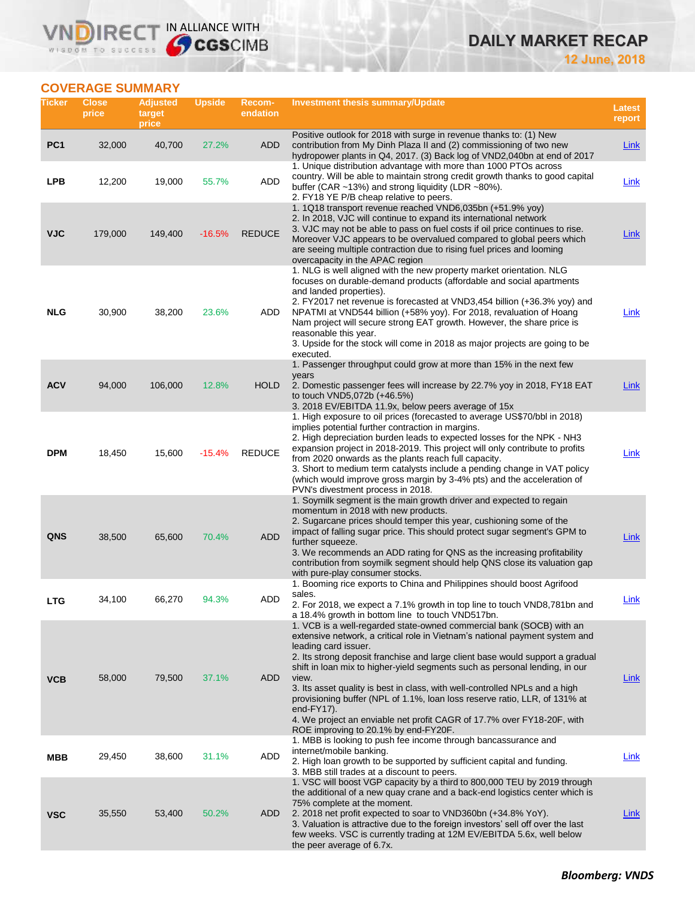# **DAILY MARKET RECAP**

**12 June, 2018**

# **COVERAGE SUMMARY**

WISDOM TO SUCCESS

VN

RECT IN ALLIANCE WITH

| Ticker          | <b>Close</b><br>price | <b>Adjusted</b><br>target<br>price | <b>Upside</b> | <b>Recom-</b><br>endation | <b>Investment thesis summary/Update</b>                                                                                                                                                                                                                                                                                                                                                                                                                                                                                                                                                                                                           | <b>Latest</b><br>report |
|-----------------|-----------------------|------------------------------------|---------------|---------------------------|---------------------------------------------------------------------------------------------------------------------------------------------------------------------------------------------------------------------------------------------------------------------------------------------------------------------------------------------------------------------------------------------------------------------------------------------------------------------------------------------------------------------------------------------------------------------------------------------------------------------------------------------------|-------------------------|
| PC <sub>1</sub> | 32,000                | 40,700                             | 27.2%         | ADD                       | Positive outlook for 2018 with surge in revenue thanks to: (1) New<br>contribution from My Dinh Plaza II and (2) commissioning of two new<br>hydropower plants in Q4, 2017. (3) Back log of VND2,040bn at end of 2017                                                                                                                                                                                                                                                                                                                                                                                                                             | <b>Link</b>             |
| <b>LPB</b>      | 12,200                | 19,000                             | 55.7%         | <b>ADD</b>                | 1. Unique distribution advantage with more than 1000 PTOs across<br>country. Will be able to maintain strong credit growth thanks to good capital<br>buffer (CAR ~13%) and strong liquidity (LDR ~80%).<br>2. FY18 YE P/B cheap relative to peers.                                                                                                                                                                                                                                                                                                                                                                                                | Link                    |
| <b>VJC</b>      | 179,000               | 149,400                            | $-16.5%$      | <b>REDUCE</b>             | 1. 1Q18 transport revenue reached VND6,035bn (+51.9% yoy)<br>2. In 2018, VJC will continue to expand its international network<br>3. VJC may not be able to pass on fuel costs if oil price continues to rise.<br>Moreover VJC appears to be overvalued compared to global peers which<br>are seeing multiple contraction due to rising fuel prices and looming<br>overcapacity in the APAC region                                                                                                                                                                                                                                                | Link                    |
| NLG             | 30,900                | 38,200                             | 23.6%         | ADD                       | 1. NLG is well aligned with the new property market orientation. NLG<br>focuses on durable-demand products (affordable and social apartments<br>and landed properties).<br>2. FY2017 net revenue is forecasted at VND3,454 billion (+36.3% yoy) and<br>NPATMI at VND544 billion (+58% yoy). For 2018, revaluation of Hoang<br>Nam project will secure strong EAT growth. However, the share price is<br>reasonable this year.<br>3. Upside for the stock will come in 2018 as major projects are going to be<br>executed.                                                                                                                         | Link                    |
| <b>ACV</b>      | 94,000                | 106,000                            | 12.8%         | <b>HOLD</b>               | 1. Passenger throughput could grow at more than 15% in the next few<br>years<br>2. Domestic passenger fees will increase by 22.7% yoy in 2018, FY18 EAT<br>to touch VND5,072b (+46.5%)<br>3. 2018 EV/EBITDA 11.9x, below peers average of 15x                                                                                                                                                                                                                                                                                                                                                                                                     | Link                    |
| <b>DPM</b>      | 18,450                | 15,600                             | $-15.4%$      | <b>REDUCE</b>             | 1. High exposure to oil prices (forecasted to average US\$70/bbl in 2018)<br>implies potential further contraction in margins.<br>2. High depreciation burden leads to expected losses for the NPK - NH3<br>expansion project in 2018-2019. This project will only contribute to profits<br>from 2020 onwards as the plants reach full capacity.<br>3. Short to medium term catalysts include a pending change in VAT policy<br>(which would improve gross margin by 3-4% pts) and the acceleration of<br>PVN's divestment process in 2018.                                                                                                       | Link                    |
| QNS             | 38,500                | 65,600                             | 70.4%         | <b>ADD</b>                | 1. Soymilk segment is the main growth driver and expected to regain<br>momentum in 2018 with new products.<br>2. Sugarcane prices should temper this year, cushioning some of the<br>impact of falling sugar price. This should protect sugar segment's GPM to<br>further squeeze.<br>3. We recommends an ADD rating for QNS as the increasing profitability<br>contribution from soymilk segment should help QNS close its valuation gap<br>with pure-play consumer stocks.                                                                                                                                                                      | Link                    |
| <b>LTG</b>      | 34,100                | 66,270                             | 94.3%         | <b>ADD</b>                | 1. Booming rice exports to China and Philippines should boost Agrifood<br>sales.<br>2. For 2018, we expect a 7.1% growth in top line to touch VND8,781bn and<br>a 18.4% growth in bottom line to touch VND517bn.                                                                                                                                                                                                                                                                                                                                                                                                                                  | Link                    |
| <b>VCB</b>      | 58,000                | 79,500                             | 37.1%         | ADD                       | 1. VCB is a well-regarded state-owned commercial bank (SOCB) with an<br>extensive network, a critical role in Vietnam's national payment system and<br>leading card issuer.<br>2. Its strong deposit franchise and large client base would support a gradual<br>shift in loan mix to higher-yield segments such as personal lending, in our<br>view.<br>3. Its asset quality is best in class, with well-controlled NPLs and a high<br>provisioning buffer (NPL of 1.1%, loan loss reserve ratio, LLR, of 131% at<br>end-FY17).<br>4. We project an enviable net profit CAGR of 17.7% over FY18-20F, with<br>ROE improving to 20.1% by end-FY20F. | Link                    |
| MBB             | 29,450                | 38,600                             | 31.1%         | ADD                       | 1. MBB is looking to push fee income through bancassurance and<br>internet/mobile banking.<br>2. High loan growth to be supported by sufficient capital and funding.<br>3. MBB still trades at a discount to peers.                                                                                                                                                                                                                                                                                                                                                                                                                               | Link                    |
| <b>VSC</b>      | 35,550                | 53,400                             | 50.2%         | ADD.                      | 1. VSC will boost VGP capacity by a third to 800,000 TEU by 2019 through<br>the additional of a new quay crane and a back-end logistics center which is<br>75% complete at the moment.<br>2. 2018 net profit expected to soar to VND360bn (+34.8% YoY).<br>3. Valuation is attractive due to the foreign investors' sell off over the last<br>few weeks. VSC is currently trading at 12M EV/EBITDA 5.6x, well below<br>the peer average of 6.7x.                                                                                                                                                                                                  | Link                    |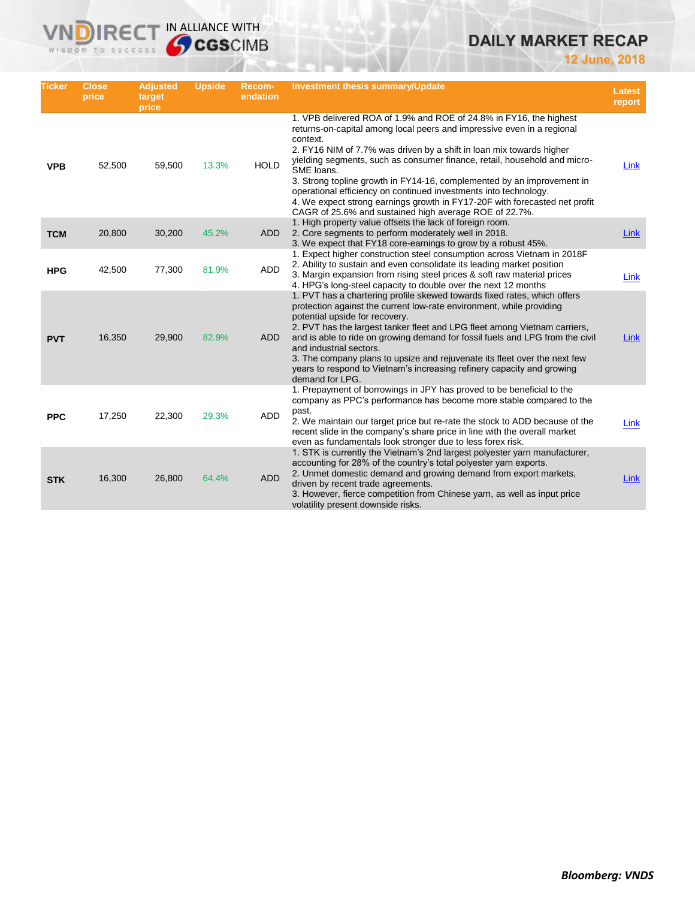# **DAILY MARKET RECAP**

**12 June, 2018**

| <b>Ticker</b> | <b>Close</b><br>price | <b>Adjusted</b><br>target<br>price | <b>Upside</b> | Recom-<br>endation | <b>Investment thesis summary/Update</b>                                                                                                                                                                                                                                                                                                                                                                                                                                                                                                                                                                           | <b>Latest</b><br>report |
|---------------|-----------------------|------------------------------------|---------------|--------------------|-------------------------------------------------------------------------------------------------------------------------------------------------------------------------------------------------------------------------------------------------------------------------------------------------------------------------------------------------------------------------------------------------------------------------------------------------------------------------------------------------------------------------------------------------------------------------------------------------------------------|-------------------------|
| <b>VPB</b>    | 52,500                | 59,500                             | 13.3%         | <b>HOLD</b>        | 1. VPB delivered ROA of 1.9% and ROE of 24.8% in FY16, the highest<br>returns-on-capital among local peers and impressive even in a regional<br>context.<br>2. FY16 NIM of 7.7% was driven by a shift in loan mix towards higher<br>yielding segments, such as consumer finance, retail, household and micro-<br>SME loans.<br>3. Strong topline growth in FY14-16, complemented by an improvement in<br>operational efficiency on continued investments into technology.<br>4. We expect strong earnings growth in FY17-20F with forecasted net profit<br>CAGR of 25.6% and sustained high average ROE of 22.7%. | Link                    |
| <b>TCM</b>    | 20,800                | 30,200                             | 45.2%         | <b>ADD</b>         | 1. High property value offsets the lack of foreign room.<br>2. Core segments to perform moderately well in 2018.<br>3. We expect that FY18 core-earnings to grow by a robust 45%.                                                                                                                                                                                                                                                                                                                                                                                                                                 | <b>Link</b>             |
| <b>HPG</b>    | 42,500                | 77,300                             | 81.9%         | <b>ADD</b>         | 1. Expect higher construction steel consumption across Vietnam in 2018F<br>2. Ability to sustain and even consolidate its leading market position<br>3. Margin expansion from rising steel prices & soft raw material prices<br>4. HPG's long-steel capacity to double over the next 12 months                                                                                                                                                                                                                                                                                                                    | Link                    |
| <b>PVT</b>    | 16,350                | 29,900                             | 82.9%         | <b>ADD</b>         | 1. PVT has a chartering profile skewed towards fixed rates, which offers<br>protection against the current low-rate environment, while providing<br>potential upside for recovery.<br>2. PVT has the largest tanker fleet and LPG fleet among Vietnam carriers,<br>and is able to ride on growing demand for fossil fuels and LPG from the civil<br>and industrial sectors.<br>3. The company plans to upsize and rejuvenate its fleet over the next few<br>years to respond to Vietnam's increasing refinery capacity and growing<br>demand for LPG.                                                             | Link                    |
| <b>PPC</b>    | 17,250                | 22,300                             | 29.3%         | ADD                | 1. Prepayment of borrowings in JPY has proved to be beneficial to the<br>company as PPC's performance has become more stable compared to the<br>past.<br>2. We maintain our target price but re-rate the stock to ADD because of the<br>recent slide in the company's share price in line with the overall market<br>even as fundamentals look stronger due to less forex risk.                                                                                                                                                                                                                                   | Link                    |
| <b>STK</b>    | 16,300                | 26,800                             | 64.4%         | <b>ADD</b>         | 1. STK is currently the Vietnam's 2nd largest polyester yarn manufacturer,<br>accounting for 28% of the country's total polyester yarn exports.<br>2. Unmet domestic demand and growing demand from export markets,<br>driven by recent trade agreements.<br>3. However, fierce competition from Chinese yarn, as well as input price<br>volatility present downside risks.                                                                                                                                                                                                                                       | Link                    |

**VNDIRECT IN ALLIANCE WITH**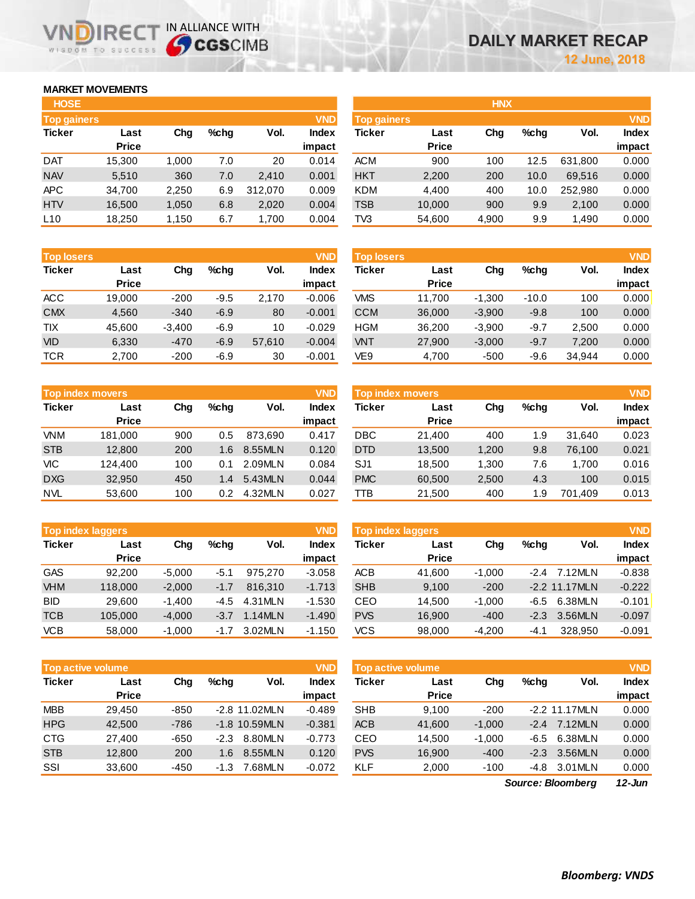## **MARKET MOVEMENTS**

WISDOM TO SUCCESS

| <b>HOSE</b>        |              |       |      |         |              |
|--------------------|--------------|-------|------|---------|--------------|
| <b>Top gainers</b> |              |       |      |         | <b>VND</b>   |
| <b>Ticker</b>      | Last         | Cha   | %chq | Vol.    | <b>Index</b> |
|                    | <b>Price</b> |       |      |         | impact       |
| <b>DAT</b>         | 15,300       | 1,000 | 7.0  | 20      | 0.014        |
| <b>NAV</b>         | 5,510        | 360   | 7.0  | 2,410   | 0.001        |
| <b>APC</b>         | 34,700       | 2,250 | 6.9  | 312,070 | 0.009        |
| <b>HTV</b>         | 16.500       | 1,050 | 6.8  | 2,020   | 0.004        |
| L <sub>10</sub>    | 18,250       | 1,150 | 6.7  | 1,700   | 0.004        |

**VNDIRECT IN ALLIANCE WITH** 

| <b>Top losers</b> |              |          |        |        | <b>VND</b>   |
|-------------------|--------------|----------|--------|--------|--------------|
| <b>Ticker</b>     | Last         | Cha      | %chq   | Vol.   | <b>Index</b> |
|                   | <b>Price</b> |          |        |        | impact       |
| <b>ACC</b>        | 19,000       | $-200$   | $-9.5$ | 2,170  | $-0.006$     |
| <b>CMX</b>        | 4,560        | $-340$   | $-6.9$ | 80     | $-0.001$     |
| TIX               | 45.600       | $-3,400$ | $-6.9$ | 10     | $-0.029$     |
| <b>VID</b>        | 6,330        | $-470$   | $-6.9$ | 57,610 | $-0.004$     |
| <b>TCR</b>        | 2,700        | $-200$   | $-6.9$ | 30     | $-0.001$     |

|               | <b>Top index movers</b> |     |      | <b>VND</b> |        |
|---------------|-------------------------|-----|------|------------|--------|
| <b>Ticker</b> | Last                    | Cha | %chq | Vol.       | Index  |
|               | <b>Price</b>            |     |      |            | impact |
| <b>VNM</b>    | 181,000                 | 900 | 0.5  | 873,690    | 0.417  |
| <b>STB</b>    | 12.800                  | 200 | 1.6  | 8.55MLN    | 0.120  |
| VIC           | 124,400                 | 100 | 0.1  | 2.09MLN    | 0.084  |
| <b>DXG</b>    | 32,950                  | 450 | 1.4  | 5.43MLN    | 0.044  |
| <b>NVL</b>    | 53,600                  | 100 | 0.2  | 4.32MLN    | 0.027  |

| <b>Top index laggers</b> |              |          |        |         |              |  |  |  |  |
|--------------------------|--------------|----------|--------|---------|--------------|--|--|--|--|
| <b>Ticker</b>            | Last         | Cha      | %chq   | Vol.    | <b>Index</b> |  |  |  |  |
|                          | <b>Price</b> |          |        |         | impact       |  |  |  |  |
| GAS                      | 92,200       | $-5,000$ | $-5.1$ | 975,270 | $-3.058$     |  |  |  |  |
| <b>VHM</b>               | 118,000      | $-2,000$ | $-1.7$ | 816,310 | $-1.713$     |  |  |  |  |
| BID                      | 29,600       | $-1,400$ | -4.5   | 4.31MLN | $-1.530$     |  |  |  |  |
| <b>TCB</b>               | 105,000      | $-4,000$ | $-3.7$ | 1.14MLN | $-1.490$     |  |  |  |  |
| VCB                      | 58,000       | $-1,000$ | -1.7   | 3.02MLN | $-1.150$     |  |  |  |  |

**Chg %chg Vol. Index** 

 $\overline{Top}$  active volume **Ticker Last** 

**Price** 

MBB 29,450 -850 -2.8 11.02MLN HPG 42,500 -786 -1.8 10.59MLN CTG 27,400 -650 -2.3 8.80MLN STB 12,800 200 1.6 8.55MLN SSI 33,600 -450 -1.3 7.68MLN

| <b>HOSE</b>        |              |       |         |         |              |                    |              | <b>HNX</b> |      |         |              |
|--------------------|--------------|-------|---------|---------|--------------|--------------------|--------------|------------|------|---------|--------------|
| <b>Top gainers</b> |              |       |         |         | <b>VND</b>   | <b>Top gainers</b> |              |            |      |         | <b>VND</b>   |
| Ticker             | Last         | Chg   | $%$ chg | Vol.    | <b>Index</b> | Ticker             | Last         | Chg        | %chq | Vol.    | <b>Index</b> |
|                    | <b>Price</b> |       |         |         | impact       |                    | <b>Price</b> |            |      |         | impact       |
| <b>DAT</b>         | 15,300       | 1.000 | 7.0     | 20      | 0.014        | <b>ACM</b>         | 900          | 100        | 12.5 | 631.800 | 0.000        |
| <b>NAV</b>         | 5,510        | 360   | 7.0     | 2.410   | 0.001        | <b>HKT</b>         | 2,200        | 200        | 10.0 | 69,516  | 0.000        |
| APC                | 34,700       | 2,250 | 6.9     | 312,070 | 0.009        | <b>KDM</b>         | 4,400        | 400        | 10.0 | 252,980 | 0.000        |
| <b>HTV</b>         | 16,500       | 1,050 | 6.8     | 2,020   | 0.004        | <b>TSB</b>         | 10,000       | 900        | 9.9  | 2,100   | 0.000        |
| L10                | 18,250       | 1,150 | 6.7     | 1,700   | 0.004        | TV3                | 54,600       | 4,900      | 9.9  | 1.490   | 0.000        |

| <b>Top losers</b> |              |          |         |        | <b>VND</b> | <b>Top losers</b> |              |          |         |        | <b>VND</b>   |
|-------------------|--------------|----------|---------|--------|------------|-------------------|--------------|----------|---------|--------|--------------|
| <b>Ticker</b>     | Last         | Chg      | $%$ chq | Vol.   | Index      | Ticker            | Last         | Chg      | %chq    | Vol.   | <b>Index</b> |
|                   | <b>Price</b> |          |         |        | impact     |                   | <b>Price</b> |          |         |        | impact       |
| ACC               | 19.000       | $-200$   | $-9.5$  | 2,170  | $-0.006$   | <b>VMS</b>        | 11.700       | $-1.300$ | $-10.0$ | 100    | 0.000        |
| <b>CMX</b>        | 4.560        | $-340$   | $-6.9$  | 80     | $-0.001$   | <b>CCM</b>        | 36,000       | $-3.900$ | $-9.8$  | 100    | 0.000        |
| TIX               | 45.600       | $-3,400$ | $-6.9$  | 10     | $-0.029$   | <b>HGM</b>        | 36,200       | $-3,900$ | $-9.7$  | 2.500  | 0.000        |
| VID               | 6,330        | $-470$   | $-6.9$  | 57.610 | $-0.004$   | <b>VNT</b>        | 27,900       | $-3,000$ | $-9.7$  | 7.200  | 0.000        |
| TCR               | 2,700        | $-200$   | $-6.9$  | 30     | $-0.001$   | VE9               | 4,700        | $-500$   | -9.6    | 34,944 | 0.000        |
|                   |              |          |         |        |            |                   |              |          |         |        |              |

|            | <b>VND</b><br>Top index movers |     |               |         |                 |                 | <b>Top index movers</b> |       |         |         |                        |  |
|------------|--------------------------------|-----|---------------|---------|-----------------|-----------------|-------------------------|-------|---------|---------|------------------------|--|
| Ticker     | Last<br><b>Price</b>           | Chg | %chq          | Vol.    | Index<br>impact | Ticker          | Last<br><b>Price</b>    | Chg   | $%$ chq | Vol.    | <b>Index</b><br>impact |  |
| <b>VNM</b> | 181.000                        | 900 | 0.5           | 873.690 | 0.417           | <b>DBC</b>      | 21.400                  | 400   | 9. ،    | 31.640  | 0.023                  |  |
| <b>STB</b> | 12,800                         | 200 | 1.6           | 8.55MLN | 0.120           | <b>DTD</b>      | 13,500                  | 1,200 | 9.8     | 76.100  | 0.021                  |  |
| VIC        | 124.400                        | 100 | 0.1           | 2.09MLN | 0.084           | SJ <sub>1</sub> | 18.500                  | 1.300 | 7.6     | 1.700   | 0.016                  |  |
| <b>DXG</b> | 32.950                         | 450 | $1.4^{\circ}$ | 5.43MLN | 0.044           | <b>PMC</b>      | 60,500                  | 2,500 | 4.3     | 100     | 0.015                  |  |
| NVL        | 53,600                         | 100 | 0.2           | 4.32MLN | 0.027           | тв              | 21,500                  | 400   | . .9    | 701.409 | 0.013                  |  |

|            | <b>Top index laggers</b> |          |        |         | <b>VND</b>             | Top index laggers |                      |          |        |                 |                        |
|------------|--------------------------|----------|--------|---------|------------------------|-------------------|----------------------|----------|--------|-----------------|------------------------|
| Ticker     | Last<br><b>Price</b>     | Chg      | %chq   | Vol.    | <b>Index</b><br>impact | Ticker            | Last<br><b>Price</b> | Chg      | %chq   | Vol.            | <b>Index</b><br>impact |
| GAS        | 92.200                   | $-5,000$ | $-5.1$ | 975.270 | $-3.058$               | ACB               | 41,600               | $-1.000$ | $-2.4$ | 7.12MLN         | $-0.838$               |
| <b>VHM</b> | 118,000                  | $-2,000$ | $-1.7$ | 816,310 | $-1.713$               | <b>SHB</b>        | 9,100                | $-200$   |        | $-2.2$ 11.17MLN | $-0.222$               |
| BID        | 29,600                   | $-1.400$ | -4.5   | 4.31MLN | $-1.530$               | CEO               | 14.500               | $-1.000$ | -6.5   | 6.38MLN         | $-0.101$               |
| TCB        | 105.000                  | $-4,000$ | $-3.7$ | 1.14MLN | $-1.490$               | <b>PVS</b>        | 16,900               | $-400$   | $-2.3$ | 3.56MLN         | $-0.097$               |
| <b>VCB</b> | 58,000                   | $-1,000$ | $-1.7$ | 3.02MLN | $-1.150$               | VCS               | 98,000               | $-4.200$ | -4.1   | 328,950         | $-0.091$               |

| <b>VND</b>   |               | <b>Top active volume</b> |          |         |                 |              |  |  |  |  |  |  |  |
|--------------|---------------|--------------------------|----------|---------|-----------------|--------------|--|--|--|--|--|--|--|
| <b>Index</b> | <b>Ticker</b> | Last                     | Cha      | $%$ chq | Vol.            | <b>Index</b> |  |  |  |  |  |  |  |
| impact       |               | <b>Price</b>             |          |         |                 | impact       |  |  |  |  |  |  |  |
| $-0.489$     | <b>SHB</b>    | 9,100                    | $-200$   |         | $-2.2$ 11.17MLN | 0.000        |  |  |  |  |  |  |  |
| $-0.381$     | <b>ACB</b>    | 41,600                   | $-1.000$ | $-2.4$  | 7.12MLN         | 0.000        |  |  |  |  |  |  |  |
| $-0.773$     | CEO           | 14.500                   | $-1.000$ | $-6.5$  | 6.38MLN         | 0.000        |  |  |  |  |  |  |  |
| 0.120        | <b>PVS</b>    | 16,900                   | $-400$   | $-2.3$  | 3.56MLN         | 0.000        |  |  |  |  |  |  |  |
| $-0.072$     | KLF           | 2,000                    | $-100$   | -4.8    | 3.01MLN         | 0.000        |  |  |  |  |  |  |  |

*12-Jun Source: Bloomberg*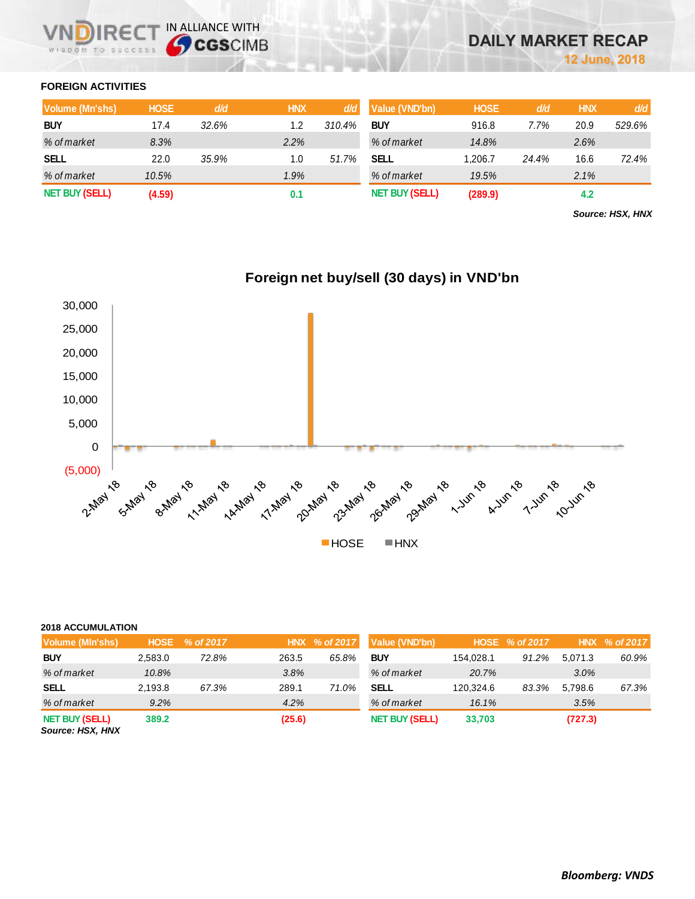## **FOREIGN ACTIVITIES**

| <b>Volume (Mn'shs)</b> | <b>HOSE</b> | d/d   | <b>HNX</b> | d/d    | Value (VND'bn)        | <b>HOSE</b> | d/d   | <b>HNX</b> | d/d    |
|------------------------|-------------|-------|------------|--------|-----------------------|-------------|-------|------------|--------|
| <b>BUY</b>             | 17.4        | 32.6% | 1.2        | 310.4% | <b>BUY</b>            | 916.8       | 7.7%  | 20.9       | 529.6% |
| % of market            | 8.3%        |       | 2.2%       |        | % of market           | 14.8%       |       | 2.6%       |        |
| <b>SELL</b>            | 22.0        | 35.9% | 1.0        | 51.7%  | SELL                  | 1.206.7     | 24.4% | 16.6       | 72.4%  |
| % of market            | 10.5%       |       | 1.9%       |        | % of market           | 19.5%       |       | 2.1%       |        |
| <b>NET BUY (SELL)</b>  | (4.59)      |       | 0.1        |        | <b>NET BUY (SELL)</b> | (289.9)     |       | 4.2        |        |

*Source: HSX, HNX*



# **Foreign net buy/sell (30 days) in VND'bn**

## **2018 ACCUMULATION**

| Volume (MIn'shs)                          | <b>HOSE</b> | $\frac{9}{6}$ of 2017 |        | HNX % of 2017 | Value (VND'bn)        |           | HOSE % of 2017 |         | HNX % of 2017 |
|-------------------------------------------|-------------|-----------------------|--------|---------------|-----------------------|-----------|----------------|---------|---------------|
| <b>BUY</b>                                | 2.583.0     | 72.8%                 | 263.5  | 65.8%         | <b>BUY</b>            | 154.028.1 | 91.2%          | 5.071.3 | 60.9%         |
| % of market                               | 10.8%       |                       | 3.8%   |               | % of market           | 20.7%     |                | 3.0%    |               |
| <b>SELL</b>                               | 2.193.8     | 67.3%                 | 289.1  | 71.0%         | <b>SELL</b>           | 120.324.6 | 83.3%          | 5.798.6 | 67.3%         |
| % of market                               | 9.2%        |                       | 4.2%   |               | % of market           | 16.1%     |                | 3.5%    |               |
| <b>NET BUY (SELL)</b><br>Source: HSX, HNX | 389.2       |                       | (25.6) |               | <b>NET BUY (SELL)</b> | 33,703    |                | (727.3) |               |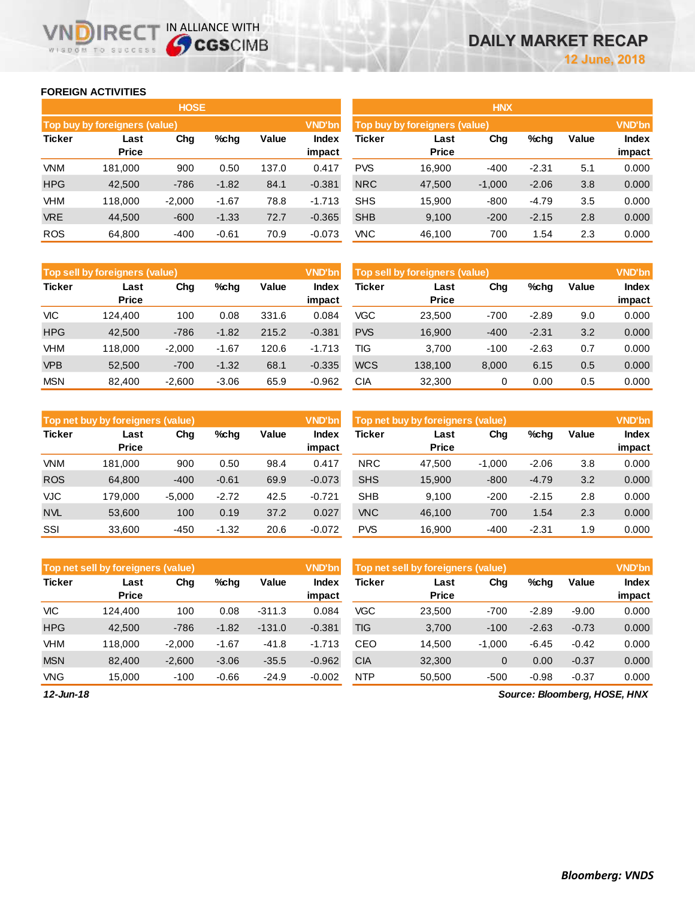## **FOREIGN ACTIVITIES**

WISDOM TO SUCCESS

**IRECT IN ALLIANCE WITH** 

|               |                               | <b>HOSE</b> |         |       |                 | <b>HNX</b>    |                               |          |         |       |                        |  |  |
|---------------|-------------------------------|-------------|---------|-------|-----------------|---------------|-------------------------------|----------|---------|-------|------------------------|--|--|
|               | Top buy by foreigners (value) |             |         |       | <b>VND'bn</b>   |               | Top buy by foreigners (value) |          |         |       |                        |  |  |
| <b>Ticker</b> | Last<br><b>Price</b>          | Chg         | $%$ chg | Value | Index<br>impact | <b>Ticker</b> | Last<br><b>Price</b>          | Chg      | $%$ chg | Value | <b>Index</b><br>impact |  |  |
| <b>VNM</b>    | 181,000                       | 900         | 0.50    | 137.0 | 0.417           | <b>PVS</b>    | 16,900                        | $-400$   | $-2.31$ | 5.1   | 0.000                  |  |  |
| <b>HPG</b>    | 42,500                        | $-786$      | $-1.82$ | 84.1  | $-0.381$        | <b>NRC</b>    | 47,500                        | $-1,000$ | $-2.06$ | 3.8   | 0.000                  |  |  |
| <b>VHM</b>    | 118,000                       | $-2,000$    | $-1.67$ | 78.8  | $-1.713$        | <b>SHS</b>    | 15,900                        | $-800$   | $-4.79$ | 3.5   | 0.000                  |  |  |
| <b>VRE</b>    | 44.500                        | $-600$      | $-1.33$ | 72.7  | $-0.365$        | <b>SHB</b>    | 9.100                         | $-200$   | $-2.15$ | 2.8   | 0.000                  |  |  |
| <b>ROS</b>    | 64,800                        | $-400$      | $-0.61$ | 70.9  | $-0.073$        | <b>VNC</b>    | 46,100                        | 700      | 1.54    | 2.3   | 0.000                  |  |  |

|               | Top sell by foreigners (value) |          |         |       | <b>VND'bn</b>   | Top sell by foreigners (value), |                      | <b>VND'bn</b> |         |       |                        |
|---------------|--------------------------------|----------|---------|-------|-----------------|---------------------------------|----------------------|---------------|---------|-------|------------------------|
| <b>Ticker</b> | Last<br><b>Price</b>           | Chg      | %chg    | Value | Index<br>impact | Ticker                          | Last<br><b>Price</b> | Chg           | %chg    | Value | <b>Index</b><br>impact |
| VIC           | 124.400                        | 100      | 0.08    | 331.6 | 0.084           | <b>VGC</b>                      | 23,500               | $-700$        | $-2.89$ | 9.0   | 0.000                  |
| <b>HPG</b>    | 42,500                         | $-786$   | $-1.82$ | 215.2 | $-0.381$        | <b>PVS</b>                      | 16,900               | $-400$        | $-2.31$ | 3.2   | 0.000                  |
| VHM           | 118,000                        | $-2.000$ | $-1.67$ | 120.6 | $-1.713$        | TIG                             | 3.700                | $-100$        | $-2.63$ | 0.7   | 0.000                  |
| <b>VPB</b>    | 52,500                         | $-700$   | $-1.32$ | 68.1  | $-0.335$        | <b>WCS</b>                      | 138,100              | 8,000         | 6.15    | 0.5   | 0.000                  |
| <b>MSN</b>    | 82,400                         | $-2,600$ | $-3.06$ | 65.9  | $-0.962$        | CIA                             | 32,300               | 0             | 0.00    | 0.5   | 0.000                  |

|               | Top net buy by foreigners (value) |          |         |       |                 |            | <b>VND'bn</b><br>Top net buy by foreigners (value) |          |         |       |                 |
|---------------|-----------------------------------|----------|---------|-------|-----------------|------------|----------------------------------------------------|----------|---------|-------|-----------------|
| <b>Ticker</b> | Last<br><b>Price</b>              | Chg      | $%$ chq | Value | Index<br>impact | Ticker     | Last<br><b>Price</b>                               | Chg      | %chg    | Value | Index<br>impact |
| <b>VNM</b>    | 181.000                           | 900      | 0.50    | 98.4  | 0.417           | <b>NRC</b> | 47,500                                             | $-1,000$ | $-2.06$ | 3.8   | 0.000           |
| <b>ROS</b>    | 64,800                            | $-400$   | $-0.61$ | 69.9  | $-0.073$        | <b>SHS</b> | 15,900                                             | $-800$   | $-4.79$ | 3.2   | 0.000           |
| <b>VJC</b>    | 179.000                           | $-5.000$ | $-2.72$ | 42.5  | $-0.721$        | <b>SHB</b> | 9.100                                              | $-200$   | $-2.15$ | 2.8   | 0.000           |
| <b>NVL</b>    | 53,600                            | 100      | 0.19    | 37.2  | 0.027           | <b>VNC</b> | 46,100                                             | 700      | 1.54    | 2.3   | 0.000           |
| SSI           | 33,600                            | $-450$   | $-1.32$ | 20.6  | $-0.072$        | <b>PVS</b> | 16,900                                             | $-400$   | $-2.31$ | 1.9   | 0.000           |

|               | <b>VND'bn</b><br>Top net sell by foreigners (value) |          |         |          |                        |            | Top net sell by foreigners (value) |          |         |         |                 |
|---------------|-----------------------------------------------------|----------|---------|----------|------------------------|------------|------------------------------------|----------|---------|---------|-----------------|
| <b>Ticker</b> | Last<br><b>Price</b>                                | Chg      | %chq    | Value    | <b>Index</b><br>impact | Ticker     | Last<br><b>Price</b>               | Chg      | %chg    | Value   | Index<br>impact |
| <b>VIC</b>    | 124.400                                             | 100      | 0.08    | $-311.3$ | 0.084                  | <b>VGC</b> | 23,500                             | $-700$   | $-2.89$ | $-9.00$ | 0.000           |
| <b>HPG</b>    | 42,500                                              | $-786$   | $-1.82$ | $-131.0$ | $-0.381$               | TIG        | 3,700                              | $-100$   | $-2.63$ | $-0.73$ | 0.000           |
| <b>VHM</b>    | 118.000                                             | $-2,000$ | $-1.67$ | $-41.8$  | $-1.713$               | CEO        | 14,500                             | $-1,000$ | $-6.45$ | $-0.42$ | 0.000           |
| <b>MSN</b>    | 82.400                                              | $-2,600$ | $-3.06$ | $-35.5$  | $-0.962$               | <b>CIA</b> | 32,300                             | 0        | 0.00    | $-0.37$ | 0.000           |
| <b>VNG</b>    | 15.000                                              | $-100$   | $-0.66$ | $-24.9$  | $-0.002$               | <b>NTP</b> | 50,500                             | $-500$   | $-0.98$ | $-0.37$ | 0.000           |

*12-Jun-18*

*Source: Bloomberg, HOSE, HNX*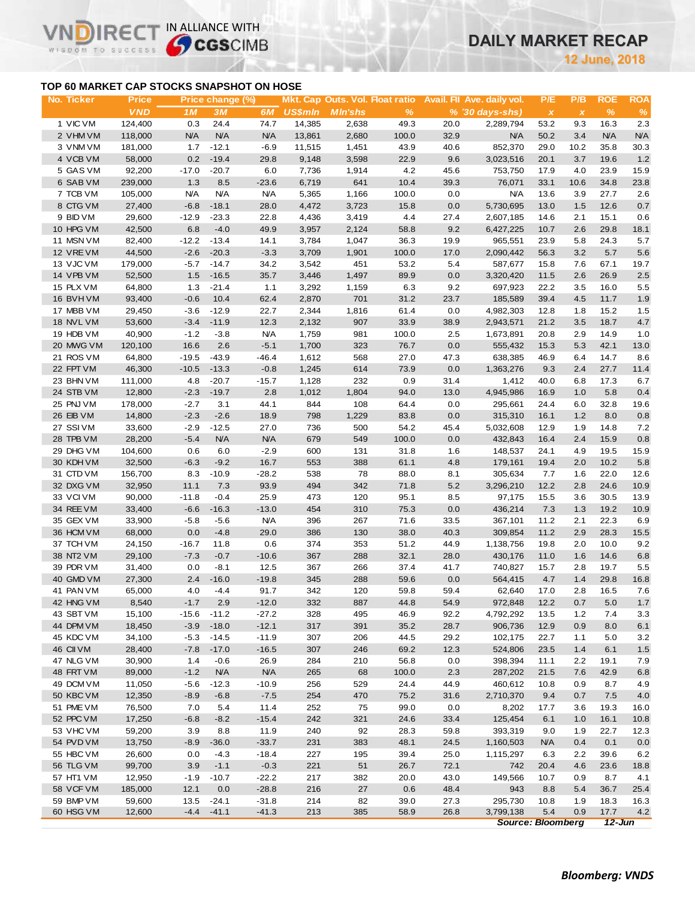# **DAILY MARKET RECAP**

**June, 2018**

## **TOP 60 MARKET CAP STOCKS SNAPSHOT ON HOSE**

VI

IR<sub>E</sub>

WISDOM TO SUCCESS

IN ALLIANCE WITH

| No. Ticker | <b>Price</b> |            | Price change (%) |            |                |                |               |         | Mkt. Cap Outs. Vol. Float ratio Avail. Fil Ave. daily vol. | P/E                       | P/B          | <b>ROE</b> | <b>ROA</b> |
|------------|--------------|------------|------------------|------------|----------------|----------------|---------------|---------|------------------------------------------------------------|---------------------------|--------------|------------|------------|
|            | <b>VND</b>   | 1M         | 3M               | 6M         | <b>US\$mln</b> | <b>MIn'shs</b> | $\frac{9}{6}$ |         | $% (30 days-shs)$                                          | $\boldsymbol{\mathsf{X}}$ | $\pmb{\chi}$ | $\%$       | $\%$       |
| 1 VIC VM   | 124,400      | 0.3        | 24.4             | 74.7       | 14,385         | 2,638          | 49.3          | 20.0    | 2,289,794                                                  | 53.2                      | 9.3          | 16.3       | 2.3        |
| 2 VHM VM   | 118,000      | N/A        | N/A              | <b>N/A</b> | 13,861         | 2,680          | 100.0         | 32.9    | <b>N/A</b>                                                 | 50.2                      | 3.4          | <b>N/A</b> | <b>N/A</b> |
| 3 VNMVM    | 181,000      | 1.7        | $-12.1$          | $-6.9$     | 11,515         | 1,451          | 43.9          | 40.6    | 852,370                                                    | 29.0                      | 10.2         | 35.8       | 30.3       |
| 4 VCB VM   | 58,000       | 0.2        | $-19.4$          | 29.8       | 9,148          | 3,598          | 22.9          | 9.6     | 3,023,516                                                  | 20.1                      | 3.7          | 19.6       | 1.2        |
| 5 GAS VM   | 92,200       | $-17.0$    | $-20.7$          | 6.0        | 7,736          | 1,914          | 4.2           | 45.6    | 753,750                                                    | 17.9                      | 4.0          | 23.9       | 15.9       |
| 6 SAB VM   | 239,000      | 1.3        | 8.5              | $-23.6$    | 6,719          | 641            | 10.4          | 39.3    | 76,071                                                     | 33.1                      | 10.6         | 34.8       | 23.8       |
| 7 TCB VM   | 105,000      | <b>N/A</b> | <b>N/A</b>       | <b>N/A</b> | 5,365          | 1,166          | 100.0         | 0.0     | <b>N/A</b>                                                 | 13.6                      | 3.9          | 27.7       | 2.6        |
| 8 CTG VM   | 27,400       | $-6.8$     | $-18.1$          | 28.0       | 4,472          | 3,723          | 15.8          | 0.0     | 5,730,695                                                  | 13.0                      | 1.5          | 12.6       | 0.7        |
| 9 BID VM   | 29,600       | $-12.9$    | $-23.3$          | 22.8       | 4,436          | 3,419          | 4.4           | 27.4    | 2,607,185                                                  | 14.6                      | 2.1          | 15.1       | 0.6        |
| 10 HPG VM  | 42,500       | 6.8        | $-4.0$           | 49.9       | 3,957          | 2,124          | 58.8          | 9.2     | 6,427,225                                                  | 10.7                      | 2.6          | 29.8       | 18.1       |
| 11 MSN VM  | 82,400       | $-12.2$    | $-13.4$          | 14.1       | 3,784          | 1,047          | 36.3          | 19.9    | 965,551                                                    | 23.9                      | 5.8          | 24.3       | 5.7        |
| 12 VREVM   | 44,500       | $-2.6$     | $-20.3$          | $-3.3$     | 3,709          | 1,901          | 100.0         | 17.0    | 2,090,442                                                  | 56.3                      | 3.2          | 5.7        | 5.6        |
| 13 VJC VM  | 179,000      | $-5.7$     | $-14.7$          | 34.2       | 3,542          | 451            | 53.2          | 5.4     | 587,677                                                    | 15.8                      | 7.6          | 67.1       | 19.7       |
| 14 VPB VM  | 52,500       | 1.5        | $-16.5$          | 35.7       | 3,446          | 1,497          | 89.9          | 0.0     | 3,320,420                                                  | 11.5                      | 2.6          | 26.9       | 2.5        |
| 15 PLX VM  | 64,800       | 1.3        | $-21.4$          | 1.1        | 3,292          | 1,159          | 6.3           | 9.2     | 697,923                                                    | 22.2                      | 3.5          | 16.0       | 5.5        |
| 16 BVHVM   | 93,400       | $-0.6$     | 10.4             | 62.4       | 2,870          | 701            | 31.2          | 23.7    | 185,589                                                    | 39.4                      | 4.5          | 11.7       | 1.9        |
| 17 MBB VM  | 29,450       | $-3.6$     | $-12.9$          | 22.7       | 2,344          | 1,816          | 61.4          | 0.0     | 4,982,303                                                  | 12.8                      | 1.8          | 15.2       | 1.5        |
| 18 NVL VM  | 53,600       | $-3.4$     | $-11.9$          | 12.3       | 2,132          | 907            | 33.9          | 38.9    | 2,943,571                                                  | 21.2                      | 3.5          | 18.7       | 4.7        |
| 19 HDB VM  | 40,900       | $-1.2$     | $-3.8$           | <b>N/A</b> | 1,759          | 981            | 100.0         | 2.5     | 1,673,891                                                  | 20.8                      | 2.9          | 14.9       | 1.0        |
| 20 MWG VM  | 120,100      | 16.6       | 2.6              | $-5.1$     | 1,700          | 323            | 76.7          | 0.0     | 555,432                                                    | 15.3                      | 5.3          | 42.1       | 13.0       |
| 21 ROS VM  | 64,800       | $-19.5$    | $-43.9$          | -46.4      | 1,612          | 568            | 27.0          | 47.3    | 638,385                                                    | 46.9                      | 6.4          | 14.7       | 8.6        |
| 22 FPT VM  | 46,300       | $-10.5$    | $-13.3$          | $-0.8$     | 1,245          | 614            | 73.9          | 0.0     | 1,363,276                                                  | 9.3                       | 2.4          | 27.7       | 11.4       |
| 23 BHN VM  | 111,000      | 4.8        | $-20.7$          | $-15.7$    | 1,128          | 232            | 0.9           | 31.4    | 1,412                                                      | 40.0                      | 6.8          | 17.3       | 6.7        |
| 24 STB VM  | 12,800       | $-2.3$     | $-19.7$          | 2.8        | 1,012          | 1,804          | 94.0          | 13.0    | 4,945,986                                                  | 16.9                      | 1.0          | 5.8        | 0.4        |
| 25 PNJ VM  | 178,000      | $-2.7$     | 3.1              | 44.1       | 844            | 108            | 64.4          | 0.0     | 295,661                                                    | 24.4                      | 6.0          | 32.8       | 19.6       |
| 26 EIB VM  | 14,800       | $-2.3$     | $-2.6$           | 18.9       | 798            | 1,229          | 83.8          | 0.0     | 315,310                                                    | 16.1                      | 1.2          | 8.0        | 0.8        |
| 27 SSIVM   | 33,600       | $-2.9$     | $-12.5$          | 27.0       | 736            | 500            | 54.2          | 45.4    | 5,032,608                                                  | 12.9                      | 1.9          | 14.8       | 7.2        |
| 28 TPB VM  | 28,200       | $-5.4$     | <b>N/A</b>       | N/A        | 679            | 549            | 100.0         | 0.0     | 432,843                                                    | 16.4                      | 2.4          | 15.9       | 0.8        |
| 29 DHG VM  | 104,600      | 0.6        | 6.0              | $-2.9$     | 600            | 131            | 31.8          | 1.6     | 148,537                                                    | 24.1                      | 4.9          | 19.5       | 15.9       |
| 30 KDH VM  | 32,500       | $-6.3$     | $-9.2$           | 16.7       | 553            | 388            | 61.1          | 4.8     | 179,161                                                    | 19.4                      | 2.0          | 10.2       | 5.8        |
| 31 CTD VM  | 156,700      | 8.3        | $-10.9$          | $-28.2$    | 538            | 78             | 88.0          | 8.1     | 305,634                                                    | 7.7                       | 1.6          | 22.0       | 12.6       |
| 32 DXG VM  | 32,950       | 11.1       | 7.3              | 93.9       | 494            | 342            | 71.8          | 5.2     | 3,296,210                                                  | 12.2                      | 2.8          | 24.6       | 10.9       |
| 33 VCIVM   | 90,000       | $-11.8$    | $-0.4$           | 25.9       | 473            | 120            | 95.1          | 8.5     | 97,175                                                     | 15.5                      | 3.6          | 30.5       | 13.9       |
| 34 REE VM  | 33,400       | $-6.6$     | $-16.3$          | $-13.0$    | 454            | 310            | 75.3          | 0.0     | 436,214                                                    | 7.3                       | 1.3          | 19.2       | 10.9       |
| 35 GEX VM  | 33,900       | $-5.8$     | $-5.6$           | <b>N/A</b> | 396            | 267            | 71.6          | 33.5    | 367,101                                                    | 11.2                      | 2.1          | 22.3       | 6.9        |
| 36 HCM VM  | 68,000       | 0.0        | $-4.8$           | 29.0       | 386            | 130            | 38.0          | 40.3    | 309,854                                                    | 11.2                      | 2.9          | 28.3       | 15.5       |
| 37 TCH VM  | 24,150       | $-16.7$    | 11.8             | 0.6        | 374            | 353            | 51.2          | 44.9    | 1,138,756                                                  | 19.8                      | 2.0          | 10.0       | 9.2        |
| 38 NT2 VM  | 29,100       | $-7.3$     | $-0.7$           | $-10.6$    | 367            | 288            | 32.1          | 28.0    | 430,176                                                    | 11.0                      | 1.6          | 14.6       | 6.8        |
| 39 PDR VM  | 31,400       | 0.0        | $-8.1$           | 12.5       | 367            | 266            | 37.4          | 41.7    | 740,827                                                    | 15.7                      | 2.8          | 19.7       | 5.5        |
| 40 GMD VM  | 27,300       | 2.4        | $-16.0$          | $-19.8$    | 345            | 288            | 59.6          | $0.0\,$ | 564,415                                                    | 4.7                       | 1.4          | 29.8       | 16.8       |
| 41 PAN VM  | 65,000       | 4.0        | $-4.4$           | 91.7       | 342            | 120            | 59.8          | 59.4    | 62,640                                                     | 17.0                      | 2.8          | 16.5       | 7.6        |
| 42 HNG VM  | 8,540        | $-1.7$     | 2.9              | $-12.0$    | 332            | 887            | 44.8          | 54.9    | 972,848                                                    | 12.2                      | 0.7          | 5.0        | 1.7        |
| 43 SBT VM  | 15,100       | -15.6      | -11.2            | $-27.2$    | 328            | 495            | 46.9          | 92.2    | 4,792,292                                                  | 13.5                      | 1.2          | 7.4        | 3.3        |
| 44 DPM VM  | 18,450       | $-3.9$     | $-18.0$          | $-12.1$    | 317            | 391            | 35.2          | 28.7    | 906,736                                                    | 12.9                      | 0.9          | 8.0        | 6.1        |
| 45 KDC VM  | 34,100       | $-5.3$     | $-14.5$          | $-11.9$    | 307            | 206            | 44.5          | 29.2    | 102,175                                                    | 22.7                      | 1.1          | 5.0        | 3.2        |
| 46 CII VM  | 28,400       | $-7.8$     | $-17.0$          | $-16.5$    | 307            | 246            | 69.2          | 12.3    | 524,806                                                    | 23.5                      | 1.4          | 6.1        | 1.5        |
| 47 NLG VM  | 30,900       | 1.4        | $-0.6$           | 26.9       | 284            | 210            | 56.8          | 0.0     | 398,394                                                    | 11.1                      | 2.2          | 19.1       | 7.9        |
| 48 FRT VM  | 89,000       | $-1.2$     | <b>N/A</b>       | <b>N/A</b> | 265            | 68             | 100.0         | 2.3     | 287,202                                                    | 21.5                      | 7.6          | 42.9       | 6.8        |
| 49 DCM VM  | 11,050       | $-5.6$     | $-12.3$          | $-10.9$    | 256            | 529            | 24.4          | 44.9    | 460,612                                                    | 10.8                      | 0.9          | 8.7        | 4.9        |
| 50 KBC VM  | 12,350       | $-8.9$     | $-6.8$           | $-7.5$     | 254            | 470            | 75.2          | 31.6    | 2,710,370                                                  | 9.4                       | 0.7          | 7.5        | 4.0        |
| 51 PME VM  | 76,500       | 7.0        | 5.4              | 11.4       | 252            | 75             | 99.0          | 0.0     | 8,202                                                      | 17.7                      | 3.6          | 19.3       | 16.0       |
| 52 PPC VM  | 17,250       | $-6.8$     | $-8.2$           | $-15.4$    | 242            | 321            | 24.6          | 33.4    | 125,454                                                    | 6.1                       | 1.0          | 16.1       | 10.8       |
| 53 VHC VM  | 59,200       | 3.9        | 8.8              | 11.9       | 240            | 92             | 28.3          | 59.8    | 393,319                                                    | 9.0                       | 1.9          | 22.7       | 12.3       |
| 54 PVD VM  | 13,750       | $-8.9$     | $-36.0$          | $-33.7$    | 231            | 383            | 48.1          | 24.5    | 1,160,503                                                  | <b>N/A</b>                | 0.4          | 0.1        | 0.0        |
| 55 HBC VM  | 26,600       | 0.0        | $-4.3$           | $-18.4$    | 227            | 195            | 39.4          | 25.0    | 1,115,297                                                  | 6.3                       | 2.2          | 39.6       | 6.2        |
| 56 TLG VM  | 99,700       | 3.9        | $-1.1$           | $-0.3$     | 221            | 51             | 26.7          | 72.1    | 742                                                        | 20.4                      | 4.6          | 23.6       | 18.8       |
| 57 HT1 VM  | 12,950       | $-1.9$     | $-10.7$          | $-22.2$    | 217            | 382            | 20.0          | 43.0    | 149,566                                                    | 10.7                      | 0.9          | 8.7        | 4.1        |
| 58 VCF VM  | 185,000      | 12.1       | 0.0              | $-28.8$    | 216            | 27             | 0.6           | 48.4    | 943                                                        | 8.8                       | 5.4          | 36.7       | 25.4       |
| 59 BMP VM  | 59,600       | 13.5       | $-24.1$          | $-31.8$    | 214            | 82             | 39.0          | 27.3    | 295,730                                                    | 10.8                      | 1.9          | 18.3       | 16.3       |
| 60 HSG VM  | 12,600       | $-4.4$     | $-41.1$          | $-41.3$    | 213            | 385            | 58.9          | 26.8    | 3,799,138                                                  | 5.4                       | 0.9          | 17.7       | 4.2        |
|            |              |            |                  |            |                |                |               |         |                                                            | <b>Source: Bloomberg</b>  |              | $12$ -Jun  |            |